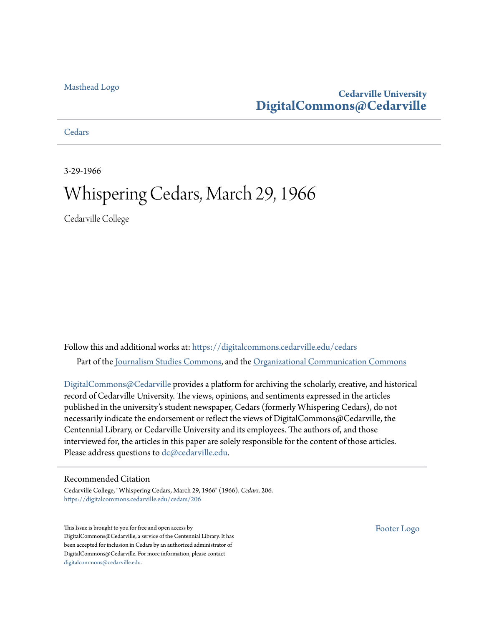### [Masthead Logo](http://www.cedarville.edu/?utm_source=digitalcommons.cedarville.edu%2Fcedars%2F206&utm_medium=PDF&utm_campaign=PDFCoverPages)

### **Cedarville University [DigitalCommons@Cedarville](https://digitalcommons.cedarville.edu?utm_source=digitalcommons.cedarville.edu%2Fcedars%2F206&utm_medium=PDF&utm_campaign=PDFCoverPages)**

**[Cedars](https://digitalcommons.cedarville.edu/cedars?utm_source=digitalcommons.cedarville.edu%2Fcedars%2F206&utm_medium=PDF&utm_campaign=PDFCoverPages)** 

3-29-1966

## Whispering Cedars, March 29, 1966

Cedarville College

Follow this and additional works at: [https://digitalcommons.cedarville.edu/cedars](https://digitalcommons.cedarville.edu/cedars?utm_source=digitalcommons.cedarville.edu%2Fcedars%2F206&utm_medium=PDF&utm_campaign=PDFCoverPages) Part of the [Journalism Studies Commons](http://network.bepress.com/hgg/discipline/333?utm_source=digitalcommons.cedarville.edu%2Fcedars%2F206&utm_medium=PDF&utm_campaign=PDFCoverPages), and the [Organizational Communication Commons](http://network.bepress.com/hgg/discipline/335?utm_source=digitalcommons.cedarville.edu%2Fcedars%2F206&utm_medium=PDF&utm_campaign=PDFCoverPages)

[DigitalCommons@Cedarville](http://digitalcommons.cedarville.edu/) provides a platform for archiving the scholarly, creative, and historical record of Cedarville University. The views, opinions, and sentiments expressed in the articles published in the university's student newspaper, Cedars (formerly Whispering Cedars), do not necessarily indicate the endorsement or reflect the views of DigitalCommons@Cedarville, the Centennial Library, or Cedarville University and its employees. The authors of, and those interviewed for, the articles in this paper are solely responsible for the content of those articles. Please address questions to [dc@cedarville.edu.](mailto:dc@cedarville.edu)

### Recommended Citation

Cedarville College, "Whispering Cedars, March 29, 1966" (1966). *Cedars*. 206. [https://digitalcommons.cedarville.edu/cedars/206](https://digitalcommons.cedarville.edu/cedars/206?utm_source=digitalcommons.cedarville.edu%2Fcedars%2F206&utm_medium=PDF&utm_campaign=PDFCoverPages)

This Issue is brought to you for free and open access by DigitalCommons@Cedarville, a service of the Centennial Library. It has been accepted for inclusion in Cedars by an authorized administrator of DigitalCommons@Cedarville. For more information, please contact [digitalcommons@cedarville.edu](mailto:digitalcommons@cedarville.edu).

[Footer Logo](http://www.cedarville.edu/Academics/Library.aspx?utm_source=digitalcommons.cedarville.edu%2Fcedars%2F206&utm_medium=PDF&utm_campaign=PDFCoverPages)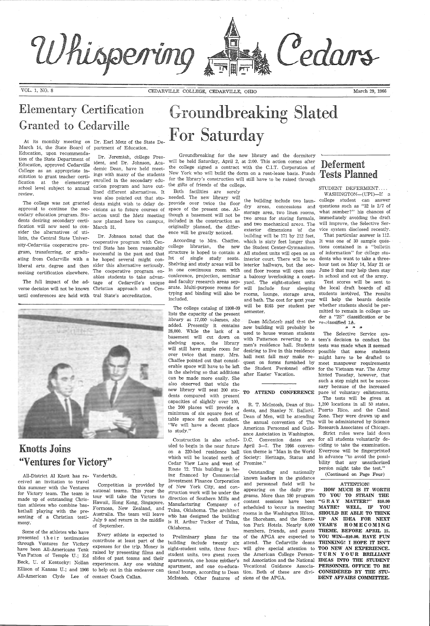Whispering

## Elementary Certification Granted to Cedarville

# **Groundbreaking Slated For Saturday**

Conege as an appropriate in-<br>stitution to grant teacher certi-<br>ings with many of the students New York who will build the dorm on a rent-lease basis. Funds **Tests Planned** Dr. Jeremiah, college Pres- Groundbreaking for the new library and the dormitory ident, and Dr. Johnson, Aca- will be held Saturday, April 2, at 2:00. This action comes after demic Dean, have held meet- the college signed a contract with the C.I.T. Corporation of for the library's construction will still have to be raised through the gifts of friends of the college.

originally planned, the differ-

March 14, the State Board of partment of Education. Education, upon recommendation of the State Department of Education, approved Cedarville . College as an appropriate inreview.

fication at the elementary enrolled in the secondary eduschool level subject to annual cation program and have out- the gifts of friends of the college. The college was not granted dents might wish to delay de- provide over twice the floor approval to continue the sec-cisions as to future courses of space of the present one. Alondary education program. Stu- action until the Metz meeting though a basement will not be dents desiring secondary certi-now planned here 'on campus, included *in* the construction as lined different alternatives. It Both facilities are sorely was also pointed out that stu- needed. The new library will

fication will now need to con- March 31. sider the alternatives of utilizin, the Central State University-Cedarville cooperative proating from Cedarville with <sup>a</sup> he hoped several might con-

STUDENT DEFERMENT.... WASHINGTON-(UPI)-If a the building include two laun- college student can answer

gram, transferring, or gradu-successful in the past and that liberal arts degree and then sider this alternative seriously. seeking certification elsewhere. The cooperative program en-The full impact of the ad-tage of Cedarville's unique Dr. Johnson noted that the cooperative program with Central State has been reasonably ables students to take advan-

verse decision will not be known Christian approach and Cenuntil conferences are held with tral State's accreditation.

At its monthly meeting on Dr. Earl Metz of the State De

# Deferment

Cedars

ence will be greatly noticed. According to Mrs. Chaffee, college librarian, the new structure is hoped to contain <sup>a</sup> lot of single study seats. Shelving and study areas will be in one continuous room with typing and binding will also be included.

> Dean McIntcsh said that the re-classified 1A. new building will probably be  $\uparrow$  \* \* \* \* used to house women students The Selective with Patterson reverting to a tern's decision to conduct the men's residence hall. Students tests was made when it seemed desiring to live in this residence possible that some students hall next fall may make re- might have to be drafted to quest on forms furnished by meet manpower requirements the Student Personnel office for the Vietnam war. The Army

## Knotts Joins ''Ventures for Victory''

All-District Al Knott has re- Vanderbilt. ceived an invitation to travel

The Selective Service syshinted Tuesday, however, that such a step might not be necessary because of the increased TO ATTEND CONFERENCE pace bf voluntary enlistments. The tests will be given at

made up of outstanding Christian athletes who combine basketball playing with the presenting of a Christian testimony.

Some of the athletes who have presented their testimonies through Ventures for Victory have been All-Americans Tenk VanPatton of Temple U.; Ed Beck, U. of Kentucky: Nollan experiences. Any one wishing Ellison of Kansas U.; and 1966 to help out in this endeaver can All-American Clyde Lee of contact Coach Callan.

of September.

Every athlete is expected to expenses for the trip. Money is raised by presenting films and slides of past teams and their

The college catalog cf 1908-09 lists the capacity of the present library at  $17,000$  volumes, she added. Presently it contains 28,000. While the lack of a basement will cut down on shelving space, the library will still have ample room for over twice that many. Mrs. Chaffee pointed out that considerable space will have to be left in the shelving so that additions can be made more easily. She also observed that while the new library will seat 200 students compared with present capacities of slightly over 100, the 200 places will provide <sup>a</sup> minimum of six square feet of table space for each student. "We will have a decent place to study."

this summer with the Ventures Competition is provided by of New York City, and conformation work will be under the form of  $\frac{1}{2}$  and  $\frac{1}{2}$  and  $\frac{1}{2}$  and  $\frac{1}{2}$  and  $\frac{1}{2}$  and  $\frac{1}{2}$  and  $\frac{1}{2}$  and tour will take the Victors to direction of Southern Mills and Hawaii, Hong Kong, Singapore, Manufacturing Company o f Formosa, New Zealand, and Tulsa, Oklahoma. The architect Australia. The team will leave whlo has designed the building July 9 and return in the middle is H. Arthur Tucker of Tulsa, contribute at least part of the building include twenty  $six$  attend. The Cedarville deans THINKING! I HOPE IT ISN'T Construction is also scheduled to begin in the near future April 3-7. The 1966 conven- ciding to take the examination. on a 220-bed residence hall tion theme is "Man in the World Everyone will be fingerprinted which will be located north of Society: Heritage, Status and in advance "to avoid the possi-Cedar View Lane and west of Promise." Route 72. This building is being financed by Commercial Investment Finance Corporation of New York City, and con-Oklahoma. Preliminary plans for the of the APGA are expected to YOU WIN-\$10.00. HAVE FUN eight-student units, three four-will give special attention to TOO NEW AN EXPERIENCE. student units, two guest room the American College Person- **TURN YOUR BRILLIANT** apartments, one house mother's nel Association and the National apartment, and one co-educa- Vocational Guidance Associa- **PERSONNEL OFFICE TO BE** tional lounge, according to Dean tion. Both of these are divi- **CONSIDERED BY THE STU**-Mcintosh. Other features of sions of the APGA. D.C. Convention dates are for all students voluntarily de-Outstanding and nationally known leaders *in* the guidance and personnel field will *be*  appearing on the daily programs. More than 180 program TO YOU TO STRAIN THE content sessions have been "G RAY MATTER?" \$10.00 scheduled to bccur in meeting **MAYBE?** W**ELL, IF YOU** rooms in the Washington Hilton, SHOULD BE ABLE TO THINK the Shoreham, and the Shera-UP AN IDEA FOR NEXT ton Park Hotels. Nearly 8,000 **YEAR'S** HOMECOMING members, friends, and guests **THEME**, BEFORE APRIL 15, bility that any unauthorized person might take the test." (Continued on Page Four) ATTENTION! HOW MUCH IS IT WORTH IDEAS INTO THE STUDENT DENT AFFAIRS COMMITTEE.

conference, projection, seminar a balcony overlooking a court- in school and out of the army. and faculty research areas sep-yard. The eight-student units Test scores will be sent to arate. Multi-purpose rooms for will |include | four | sleeping the local draft boards of all dry areas, concessions and questions such as "32 is 2/7 of storage area, two linen rooms, what number?" his chances of two areas for storing formals, immediately avoiding the draft and two mechanical areas. The will improve, the Selective Serand two mechanical areas. The exterior dimensions of the vice system disclosed recently.<br>building will be 171 by 212 feet. That particular answer is 112. building will be 171 by 212 feet, which is sixty feet longer than It was one of 30 sample questhe Student Center-Gymnasium. tions contained in a "bulletin All student units will open on an of information" for college stuinterior court. There will be no dents who want to take a threeinterior hallways, but the sec- hour test on May 14, May 21 or ond floor rooms will open onto June 3 that may help them stay rooms, lounge, storage area, students involved. The results and bath. The cost for next year will help the boards decide will be \$165 per student per whether students should be persemester. **mitted to remain in college un-**

der a "2S" classification or be

dents, and Stanley N. Ballard, Puerto Rico, and the Canal Dean of Men, will be attending Zone. They were drawn up and the annual convention of The will be administered by Science American Personnel and Guid-Research Associates of Chicago. ance Association in Washington,

R. T. Mcintosh, Dean of Stu-1,200 locations in all 50 states,

Strict rules were laid down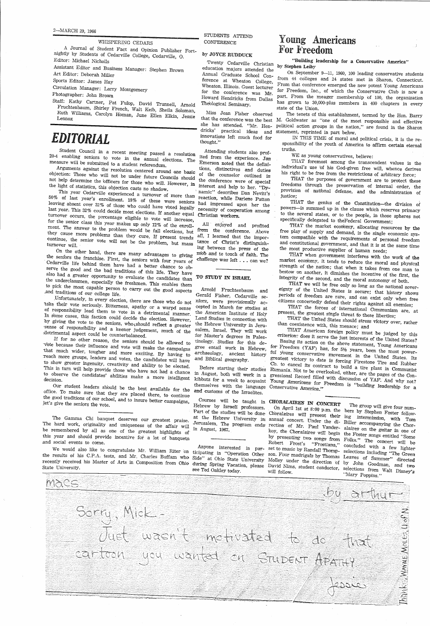WHISPERING CEDARS<br>A Journal of Student Fact and Opinion Publisher Fortnightly by Students of Cedarville College, Cedarville, O. Editor: Michael Nicholls

Circulation Manager: Larry Montgomery Photographer: John Brown Fruchtenbaum, Shirley French, Walt Keib, Sheila Soloman, Ruth Williams, Carolyn Homan, June Ellen Elkin, Jessie

Assistant Editor and Business Manager: Stephen Brown Art Editor: Deborah Miller

Sports Editor: James Hay

Twenty Cedarville Christian education majors attended the Annual Graduate School Con-<br>ference at Wheaton College, Wheaton. Illinois. Guest lecturer for the conference was Mr. Howard Hendricks from Dallas Theblogical Seminary.

## *EDITORIAL*

Student Council in a recent meeting passed a resolution attending students also prof-<br>20-4 enabling seniors to vote in the annual elections. The ited from the experience. Jan<br>measure will be submitted to a student referend measure will be submitted to a student referendum.

Arguments against the resolution centered around one basic tions, distinctives and duties jection: Those who will not be under future Councils about objection: Those who will not be under future Councils should the counselor outlined in<br>not help determine the officers for those who will However in the conference were of special Experient. Those who will not be under future Councils should the counselor outlined in<br>not help determine the officers for those who will However to the conference were of special the light of statistics, this objection casts no shadow.

light of statistics, this objection casts no shadow.<br>This year Cedarville experienced a turnover of more than reaction, while Darlene Patton 50% of last year's enrollment. 18% of these were seniors had impressed upon her the leaving absent over 32% of those who could have rited in The Theory in the leaving absent over 32% of those who could have rited in The Th Leaving absent over 32% of those who could have voted legally necessity of cooperation among<br>last year. This 32% could decide most elections If on the necessity of cooperation among turnover occurs, the percentage eligible to vote will increase,<br>for the senior class of the percentage eligible to vote will increase, for the senior class this year makes up only 12% of the enroll-<br>ment. The answer to the problem would be fall elections, but<br>they cause more problems than they cure. If present trends turnover occurs, the percentage eligible to vote will increase,<br>for the senior class this year makes up only 12% of the enroll-<br>ment. The answer to the problem would be fall elections, but from the conference. Above<br>they

also had a greater opportunity to evaluate the candidates than **TO' STUDY IN ISRAEL**<br>the underclassmen, especially the freshmen. This enables them<br>to pick the most capable person to carry out the good aspects a Arnold Fruc

and traditions of our college life.<br>
Unfortunately, in every election, there are those who do not miors, were provisionally actable their vote seriously. Bitterness, apathy or a warpd sense cepted in March for studies at<br>

If for no other reason, the seniors should be allowed to<br>vote because their influence and vote will make the campaigns<br>that much wider, tougher and more exciting. By having to<br>reach more groups, leaders and votes, the cand

Our student leaders should be the best available for the office. To make sure that they are placed there, to continue the good traditions of our school, and to insure better campaigns, Jet's give the seniors the vote.

The Gamma Chi banquet deserves our greatest praise.<br>The hard work, originality and uniqueness of the affair will<br>be remembered by all as one of the greatest highlights of<br>this year and should provide incentive for a lot of

We would also like to congratulate Mr. William Riter on ticipating in "Operation Other son. Four madrigals by Randall Thomp- selections including "The Green<br>the results of his C.P.A. tests, and Mr. Charles Buffam who Side"

MACS

STUDENTS ATTEND CONFERENCE

### by JOYCE RUDDUCK

Miss Jean Fisher observed she has attended. "Mr. Hendricks' practical ideas and statement, reprinted in part below. innovations left much food for thought."

cepted in March for studies at Land Studies in connection with the Hebrew University in Jerufor Master's degrees in Palestinology. Studies for this de-<br>gree entail work in Hebrew, archaeology, ancient history<br>and Biblical geography.

Before starting their studies

Courses will be taught in **CHORALAIRES IN CONCERT** The group will give four num-<br>Hebrew by Israeli professors. On April 1st at 8:00 p.m. the bers by Stephen Foster follow-<br>Part of the studies will be done, Choralaires wil Courses will be taught in CHORALAIRES IN CONCERT

Anyone interested in par-<br>ticipating in "Operation Other

# Young Americans<br>For Freedom

"Building leadership for a Conservative America"<br>by Stephen Leiby<br>On September 9-11, 1960, 100 leading conservative students<br>from 44 colleges and 24 states met in Sharon, Connecticut.<br>From that conference emerged the new

that the conference was the best M. Goldwater as "one of the most responsible and effective The tenets of this establishment, termed by the Hon. Barry<br>M. Goldwater as "one of the most responsible and effective<br>political action groups in the nation," are found in the Sharon<br>statement, reprinted in part below.<br>IN T

WE as young conservatives, believe:<br>
THAT foremost among the transcendent values is the<br>
individual's use of his God-given free will, whence derives<br>
his right to be free from the restrictions of arbitrary force;<br>
THAT the

THAT the genius of the Constitution—the division of<br>powers—is summed up in the clause which reserves primacy<br>to the several states, or to the people, in those spheres not<br>specifically delegated to the<br>Federal Government;<br>T

in August, both will work in a gressional Record filled with discussion of YAF. And why not? Figures bound with work in a gressional Record filled with discussion of YAF. And why not?<br>kibbutz for a week to acquaint Young Americans for Freedom is "building leadership for a<br>themselves with the language Conservative IMAT when government interferes with the work of the<br>market economy, it tends to reduce the moral and physical<br>strength of the nation; that when it takes from one man to<br>bestow on another, it dimishes the incentive of the

at the Hebrew University in annual concert. Under the di- Biller accompanying the Chor-<br>Jerusalem. The program ends rection of Mr. Paul Vendus 1, 1976 accompanying the Chorin August, 1967. rectio:rr of Mr; Paul Vander-alaires on *the* guitar in one of koy, the Choralaires will begin the Foster songs entitled "Some<br>by presenting- two songs from Folks." The concert will be<br>Robert Frost's "Frostiana," concluded with a family set to music by RandaII Thomp-selections including "The Green"<br>Son Four maximulations including "The Green"

will follow.<br>
See Ted Oakley today. Will follow.<br>
See Ted Oakley today. Will follow.<br>
See Ted Oakley today. Will follow.<br>
Mary Poppins." The group will give four num- On April 1st at  $8:00$  p.m. the bers by Stephen Foster follow-Leaves of Summer" directed

Sorry, Mick-Mank MAYAE MoLES (J of N Must wasn't motivated to do that cartoon you wanted on STUDENT APATHY fessic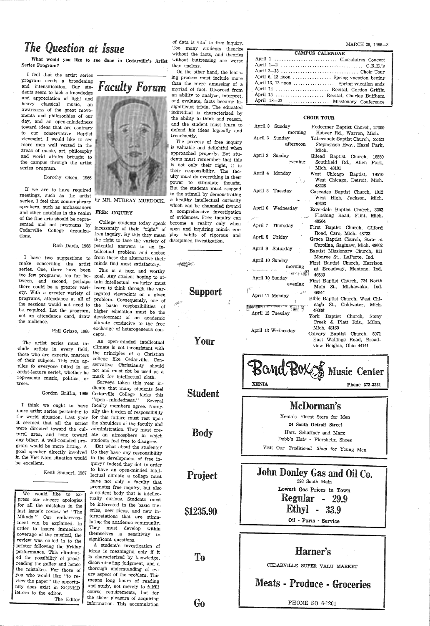## *The Question at Issue*

What would you like to see done in Cedarville's Artist Series Program?



I feel that the artist series program needs a broadening  $\overline{r}$  **i** and intensification. Our stu-<br>dents seem to lack a knowledge and appreciation of light and heavy classical music, an awareness of the great movements and philosophies of our day, and an open-mindedness toward ideas that are contrary to bur conservative Baptist viewpoint. I would like to see more men well versed in the areas of music, art, philosophy and world affairs brought to the campus through the artist series program.

If we are to have required meetings, such as the artist series, I feel that contemporary by MR. MURRAY MURDOCK. speakers, such as ambassadors and other notables in the realm FREE INQUIRY of the fine arts should be represented and not programs by Cedarville College organizations.

make concerning the artist minds find most satisfactory.<br>series. One, there have been This is a nign and worthy<br>too few programs, too far be- goal. Any student hoping to at-<br>tween, and second, perhaps tain intellectual mat the sessions would not need to the basic responsibilities of be required. Let the program, higher education must be the not an attendance card, draw development of an academic<br>the audience. climate conducive to the free

Dorothy Olsen, 1966

Rich Davis, 1968 potential answers to an in-<sup>I</sup>have two suggestions to from these the alternative their College students today speak incessantly of their "right" of free inquiry. By this they mean the right to face the variety of tellectual problem and choose

> climate conducive to the free Phil Grisso, 1966 exchange of heterogeneous con-

> > An open-minded intellectual<br>climate is not inconsistent with the principles of a Christian college like Cedarville. Conservative Christianity should not and must not be used as a mask for intellectual sloth.

The artist series must include artists in every field, ·those who are experts, masters of their subject. This rule ap<sup>p</sup>lies tb everyone billed in an artist-lecture series, whether he represents music, politics, or trees.

more artist series pertaining to ally the burden of responsibility the world situation. Last year for this failure must rest upon it seemed that all the series the shoulders of the faculty and were directed toward the cul-administration. They must cretural area, and none toward ate an atmosphere in which any bther. A well-rounded pro-students feel free to disagree. gram would be more fitting. A be excellent.

Keith Shubert, 1967

Gordon Griffin, 1966 Cedarville College lacks this I think we ought to have faculty members agree. Natur-Surveys taken this year indicate that many students feel "open - mindedness." Several

We would like to express our sincere apologies for all the mistakes in the last issue's review bf "The Mikado." Our embarrassment can be explained. In order to insure immediate coverage of the musical, the review was called in to the printer following the Friday performance. This eliminated the possibility of proofreading the galley and hence the mistakes. For those of you who would like "to review the paper" the opportunity does exist in SIGNED letters to the editor. The Editor

good speaker directly involved Do they have any responsibility in the Viet Nam situation would in the develbpment of free in-But what about the students? quiry? Indeed they do! In order to have an open-minded intellectual climate a college must have not only a faculty that promotes free inquiry, but also a student body that is intellectually curious. Students must be interested in the basic theories, new ideas, and new interpretations that are stimulating the academic community. They must develop within themselves a sensitivity to significant questions. A student's investigation of ideas is meaningful only if it discriminating judgment, and a thorough understanding of every aspect of the problem. This means long hours of reading and study, not merely to fulfill course requirements, but for the sheer pleasure of acquiring information. This accumulation

of data is vital to free inquiry. Too many students theorize without the facts, and theories without buttressing are worse than useless. On the other hand, the learn-

ing process must include more than the mere amassing of a myriad of fact. Divorced from an ability to analyze, interpret, and evaluate, facts became insignificant trivia. The educated individual is characterized by the ability to think and reason, and the student must learn to defend his ideas logically and trenchantly.

The process of free inquiry is valuable and delightful when approached properly. But students must remember that this is not only their right, it is their responsibility. The faculty must do everything in their power to stimulate thought. But the students must respond to the stimuli by demonstrating <sup>a</sup>healthy intellectual curiosity which can be channeled tbward a comprehensive investigation of evidences. Free inquiry can become a reality only when open and inquiring minds em<sup>p</sup>loy habits of rigorous and

| become a reality only wh    |         |  |   |
|-----------------------------|---------|--|---|
| open and inquiring minds er |         |  |   |
| ploy habits of rigorous     |         |  | a |
| disciplined investigation.  |         |  |   |
|                             |         |  |   |
|                             |         |  |   |
|                             |         |  |   |
|                             |         |  |   |
|                             |         |  |   |
|                             |         |  |   |
|                             |         |  |   |
|                             |         |  |   |
|                             | Support |  |   |
|                             |         |  |   |
|                             |         |  |   |
|                             |         |  |   |

Your

Student

Body

Project

\$1235.90

To

Go

MARCH 29, 1966-3

| CAMPUS CALENDAR                          |  |  |  |
|------------------------------------------|--|--|--|
|                                          |  |  |  |
|                                          |  |  |  |
|                                          |  |  |  |
| April 6, 12 noon  Spring vacation begins |  |  |  |
| April 13, 12 noon  Spring vacation ends  |  |  |  |
| April 14  Recital, Gordon Griffin        |  |  |  |
| April 15  Recital, Charles Buffham       |  |  |  |
| April 18-23  Missionary Conference       |  |  |  |

### CHOIR TOUR

|                 | April 3 Sunday<br>morning                                                                | Redeemer Baptist Church, 27300                                                                         |
|-----------------|------------------------------------------------------------------------------------------|--------------------------------------------------------------------------------------------------------|
|                 | April 3 Sunday<br>afternoon                                                              | Hoover Rd., Warren, Mich.<br>Tabernacle Baptist Church, 22323<br>Stephenson Hwy., Hazel Park,<br>Mich. |
|                 | April 3 Sunday<br>evening                                                                | Gilead Baptist Church, 16850<br>Southfield Rd., Allen Park,<br>Mich. 48101                             |
|                 | April 4 Monday                                                                           | West Chicago Baptist, 19510<br>West Chicago, Detroit, Mich.<br>48228                                   |
|                 | April 5 Tuesday                                                                          | Cascades Baptist Church, 1012<br>West High, Jackson, Mich.<br>49203                                    |
|                 | April 6 Wednesday                                                                        | Riverdale Baptist Church, 3202<br>Flushing Road, Flint, Mich.                                          |
|                 | April 7 Thursday                                                                         | 48504<br>First Baptist Church, Gilford                                                                 |
|                 | April 8 Friday                                                                           | Road, Caro, Mich. 48723<br>Grace Baptist Church, State at                                              |
|                 | April 9 Saturday                                                                         | Carolina, Saginaw, Mich. 48602<br>Baptist Missionary Church, 811                                       |
| April 10 Sunday | morning<br>一村三八寨                                                                         | Monroe St., LaPorte, Ind.<br>First Baptist Church, Harrison<br>at Broadway, Mentone, Ind.<br>46539     |
| April 10 Sunday | evening                                                                                  | First Baptist Church, 724 North<br>Main St., Mishawaka, Ind.                                           |
|                 | المخطوب ال<br>April 11 Monday<br>۸<br>ن<br>الله الكنة بساب <del>ات تستخدم</del> العاملين | 46544<br>Bible Baptist Church, West Chi-<br>cago St., Coldwater, Mich.                                 |
|                 | April 12 Tuesday                                                                         | 49036<br>York Baptist Church, Stony                                                                    |
|                 | April 13 Wednesday                                                                       | Creek & Platt Rds., Milan,<br>Mich. 48160<br>Calvary Baptist Church, 5971                              |
|                 |                                                                                          | East Wallings Road, Broad-<br>view Heights, Ohio 44141                                                 |
|                 | an/                                                                                      |                                                                                                        |



Xenia's Finest Store for Men 24 South Detroit Street Hart. Schaffner and Marx

Dobb's Hats - Florsheim Shoes

Visit Our *Traditional Shop* for Young Men

### John Donley Gas and Oil Co. 293 South Main

Lowest Gas frices in Town Regular 29.9 Ethyl 33.9 Oil - Parts - Service Harner's CEDARVILLE SUPER VALU MARKET Meats - Produce - Groceries PHONE SO 6-1201